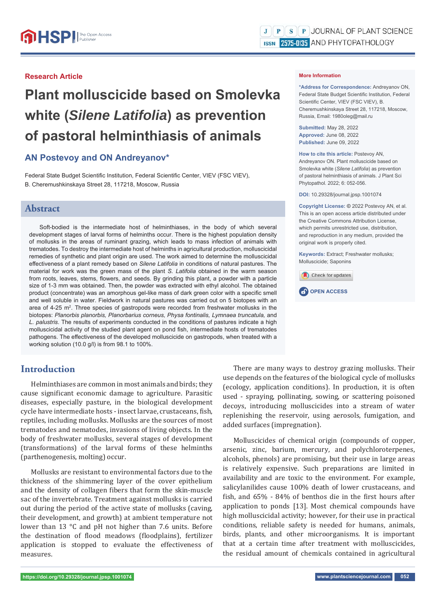#### **Research Article**

# **Plant molluscicide based on Smolevka white (***Silene Latifolia***) as prevention of pastoral helminthiasis of animals**

## **AN Postevoy and ON Andreyanov\***

Federal State Budget Scientific Institution, Federal Scientific Center, VIEV (FSC VIEV), B. Cheremushkinskaya Street 28, 117218, Moscow, Russia

### **Abstract**

Soft-bodied is the intermediate host of helminthiases, in the body of which several development stages of larval forms of helminths occur. There is the highest population density of mollusks in the areas of ruminant grazing, which leads to mass infection of animals with trematodes. To destroy the intermediate host of helminths in agricultural production, molluscicidal remedies of synthetic and plant origin are used. The work aimed to determine the molluscicidal effectiveness of a plant remedy based on *Silene Latifolia* in conditions of natural pastures. The material for work was the green mass of the plant *S. Latifolia* obtained in the warm season from roots, leaves, stems, flowers, and seeds. By grinding this plant, a powder with a particle size of 1-3 mm was obtained. Then, the powder was extracted with ethyl alcohol. The obtained product (concentrate) was an amorphous gel-like mass of dark green color with a specific smell and well soluble in water. Fieldwork in natural pastures was carried out on 5 biotopes with an area of 4-25  $\mathrm{m}^2$ . Three species of gastropods were recorded from freshwater mollusks in the biotopes: *Planorbis planorbis, Planorbarius corneus, Physa fontinalis, Lymnaea truncatula,* and *L. palustris*. The results of experiments conducted in the conditions of pastures indicate a high molluscicidal activity of the studied plant agent on pond fish, intermediate hosts of trematodes pathogens. The effectiveness of the developed molluscicide on gastropods, when treated with a working solution (10.0 g/l) is from 98.1 to 100%.

## **Introduction**

Helminthiases are common in most animals and birds; they cause significant economic damage to agriculture. Parasitic diseases, especially pasture, in the biological development cycle have intermediate hosts - insect larvae, crustaceans, fish, reptiles, including mollusks. Mollusks are the sources of most trematodes and nematodes, invasions of living objects. In the body of freshwater mollusks, several stages of development (transformations) of the larval forms of these helminths (parthenogenesis, molting) occur.

Mollusks are resistant to environmental factors due to the thickness of the shimmering layer of the cover epithelium and the density of collagen fibers that form the skin-muscle sac of the invertebrate. Treatment against mollusks is carried out during the period of the active state of mollusks (caving, their development, and growth) at ambient temperature not lower than 13 °C and pH not higher than 7.6 units. Before the destination of flood meadows (floodplains), fertilizer application is stopped to evaluate the effectiveness of measures.

#### **More Information**

**\*Address for Correspondence:** Andreyanov ON, Federal State Budget Scientific Institution, Federal Scientific Center, VIEV (FSC VIEV), B. Cheremushkinskaya Street 28, 117218, Moscow, Russia, Email: 1980oleg@mail.ru

**Submitted:** May 28, 2022 **Approved:** June 08, 2022 **Published:** June 09, 2022

**How to cite this article:** Postevoy AN, Andreyanov ON. Plant molluscicide based on Smolevka white (*Silene Latifolia*) as prevention of pastoral helminthiasis of animals. J Plant Sci Phytopathol. 2022; 6: 052-056.

**DOI:** 10.29328/journal.jpsp.1001074

**Copyright License: ©** 2022 Postevoy AN, et al. This is an open access article distributed under the Creative Commons Attribution License, which permits unrestricted use, distribution, and reproduction in any medium, provided the original work is properly cited.

**Keywords:** Extract; Freshwater mollusks; Molluscicide; Saponins





There are many ways to destroy grazing mollusks. Their use depends on the features of the biological cycle of mollusks (ecology, application conditions). In production, it is often used - spraying, pollinating, sowing, or scattering poisoned decoys, introducing molluscicides into a stream of water replenishing the reservoir, using aerosols, fumigation, and added surfaces (impregnation).

Molluscicides of chemical origin (compounds of copper, arsenic, zinc, barium, mercury, and polychloroterpenes, alcohols, phenols) are promising, but their use in large areas is relatively expensive. Such preparations are limited in availability and are toxic to the environment. For example, salicylanilides cause 100% death of lower crustaceans, and fish, and 65% - 84% of benthos die in the first hours after application to ponds [13]. Most chemical compounds have high molluscicidal activity; however, for their use in practical conditions, reliable safety is needed for humans, animals, birds, plants, and other microorganisms. It is important that at a certain time after treatment with molluscicides, the residual amount of chemicals contained in agricultural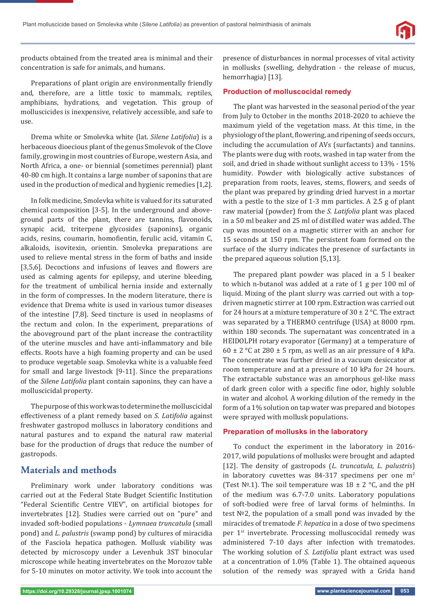

products obtained from the treated area is minimal and their concentration is safe for animals, and humans.

Preparations of plant origin are environmentally friendly and, therefore, are a little toxic to mammals, reptiles, amphibians, hydrations, and vegetation. This group of molluscicides is inexpensive, relatively accessible, and safe to use.

Drema white or Smolevka white (lat. *Silene Latifolia*) is a herbaceous dioecious plant of the genus Smolevok of the Clove family, growing in most countries of Europe, western Asia, and North Africa, a one- or biennial (sometimes perennial) plant 40-80 cm high. It contains a large number of saponins that are used in the production of medical and hygienic remedies [1,2].

In folk medicine, Smolevka white is valued for its saturated chemical composition [3-5]. In the underground and aboveground parts of the plant, there are tannins, flavonoids, synapic acid, triterpene glycosides (saponins), organic acids, resins, coumarin, homofientin, ferulic acid, vitamin C, alkaloids, isovitexin, orientin. Smolevka preparations are used to relieve mental stress in the form of baths and inside [3,5,6]. Decoctions and infusions of leaves and flowers are used as calming agents for epilepsy, and uterine bleeding, for the treatment of umbilical hernia inside and externally in the form of compresses. In the modern literature, there is evidence that Drema white is used in various tumor diseases of the intestine [7,8]. Seed tincture is used in neoplasms of the rectum and colon. In the experiment, preparations of the aboveground part of the plant increase the contractility of the uterine muscles and have anti-inflammatory and bile effects. Roots have a high foaming property and can be used to produce vegetable soap. Smolevka white is a valuable feed for small and large livestock [9-11]. Since the preparations of the *Silene Latifolia* plant contain saponins, they can have a molluscicidal property.

The purpose of this work was to determine the molluscicidal effectiveness of a plant remedy based on *S. Latifolia* against freshwater gastropod molluscs in laboratory conditions and natural pastures and to expand the natural raw material base for the production of drugs that reduce the number of gastropods.

## **Materials and methods**

Preliminary work under laboratory conditions was carried out at the Federal State Budget Scientific Institution "Federal Scientific Centre VIEV", on artificial biotopes for invertebrates [12]. Studies were carried out on "pure" and invaded soft-bodied populations - *Lymnaea truncatula* (small pond) and *L. palustris* (swamp pond) by cultures of miracidia of the Fasciola hepatica pathogen. Mollusk viability was detected by microscopy under a Levenhuk 3ST binocular microscope while heating invertebrates on the Morozov table for 5-10 minutes on motor activity. We took into account the

presence of disturbances in normal processes of vital activity in mollusks (swelling, dehydration - the release of mucus, hemorrhagia) [13].

#### **Production of molluscocidal remedy**

The plant was harvested in the seasonal period of the year from July to October in the months 2018-2020 to achieve the maximum yield of the vegetation mass. At this time, in the physiology of the plant, flowering, and ripening of seeds occurs, including the accumulation of AVs (surfactants) and tannins. The plants were dug with roots, washed in tap water from the soil, and dried in shade without sunlight access to 13% - 15% humidity. Powder with biologically active substances of preparation from roots, leaves, stems, flowers, and seeds of the plant was prepared by grinding dried harvest in a mortar with a pestle to the size of 1-3 mm particles. A 2.5 g of plant raw material (powder) from the *S. Latifolia* plant was placed in a 50 ml beaker and 25 ml of distilled water was added. The cup was mounted on a magnetic stirrer with an anchor for 15 seconds at 150 rpm. The persistent foam formed on the surface of the slurry indicates the presence of surfactants in the prepared aqueous solution [5,13].

The prepared plant powder was placed in a 5 l beaker to which n-butanol was added at a rate of 1 g per 100 ml of liquid. Mixing of the plant slurry was carried out with a topdriven magnetic stirrer at 100 rpm. Extraction was carried out for 24 hours at a mixture temperature of  $30 \pm 2$  °C. The extract was separated by a THERMO centrifuge (USA) at 8000 rpm. within 180 seconds. The supernatant was concentrated in a HEIDOLPH rotary evaporator (Germany) at a temperature of 60  $\pm$  2 °C at 280  $\pm$  5 rpm, as well as an air pressure of 4 kPa. The concentrate was further dried in a vacuum desiccator at room temperature and at a pressure of 10 kPa for 24 hours. The extractable substance was an amorphous gel-like mass of dark green color with a specific fine odor, highly soluble in water and alcohol. A working dilution of the remedy in the form of a 1% solution on tap water was prepared and biotopes were sprayed with mollusk populations.

#### **Preparation of mollusks in the laboratory**

To conduct the experiment in the laboratory in 2016- 2017, wild populations of mollusks were brought and adapted [12]. The density of gastropods (*L. truncatula, L. palustris*) in laboratory cuvettes was 84-317 specimens per one  $m<sup>2</sup>$ (Test  $N<sup>o</sup>$ .1). The soil temperature was  $18 \pm 2$  °C, and the pH of the medium was 6.7-7.0 units. Laboratory populations of soft-bodied were free of larval forms of helminths. In test №2, the population of a small pond was invaded by the miracides of trematode *F. hepatica* in a dose of two specimens per 1st invertebrate. Processing molluscocidal remedy was administered 7-10 days after infection with trematodes. The working solution of *S. Latifolia* plant extract was used at a concentration of 1.0% (Table 1). The obtained aqueous solution of the remedy was sprayed with a Grida hand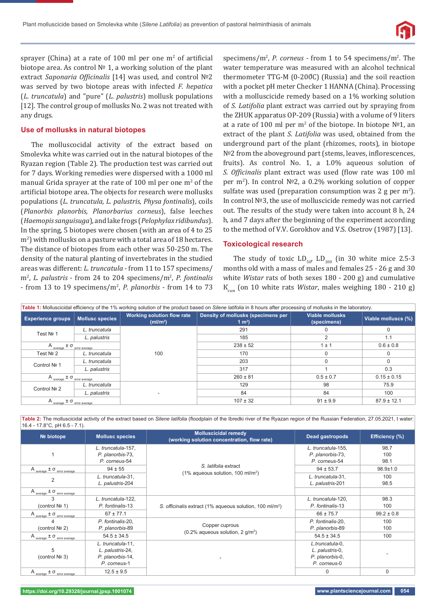

sprayer (China) at a rate of 100 ml per one  $m<sup>2</sup>$  of artificial biotope area. As control № 1, a working solution of the plant extract *Saponaria Ofϔicinalis* [14] was used, and control №2 was served by two biotope areas with infected *F. hepatica* (*L. truncatula*) and "pure" (*L. palustris*) mollusk populations [12]. The control group of mollusks No. 2 was not treated with any drugs.

#### **Use of mollusks in natural biotopes**

The molluscocidal activity of the extract based on Smolevka white was carried out in the natural biotopes of the Ryazan region (Table 2). The production test was carried out for 7 days. Working remedies were dispersed with a 1000 ml manual Grida sprayer at the rate of 100 ml per one  $m<sup>2</sup>$  of the artificial biotope area. The objects for research were mollusks populations (*L. truncatula, L. palustris, Physa fontinalis*), coils (*Planorbis planorbis, Planorbarius corneus*), false leeches (*Haemopis sanguisuga*), and lake frogs (*Pelophylax ridibundus*). In the spring, 5 biotopes were chosen (with an area of 4 to 25 m<sup>2</sup>) with mollusks on a pasture with a total area of 18 hectares. The distance of biotopes from each other was 50-250 m. The density of the natural planting of invertebrates in the studied areas was different: *L. truncatula* - from 11 to 157 specimens/ m<sup>2</sup>, *L. palustris* - from 24 to 204 specimens/m<sup>2</sup>, *P. fontinalis* - from 13 to 19 specimens/m2 , *P. planorbis* - from 14 to 73 specimens/ $m^2$ , *P. corneus* - from 1 to 54 specimens/ $m^2$ . The water temperature was measured with an alcohol technical thermometer TTG-M (0-200̊C) (Russia) and the soil reaction with a pocket pH meter Checker 1 HANNA (China). Processing with a molluscicide remedy based on a 1% working solution of *S. Latifolia* plant extract was carried out by spraying from the ZHUK apparatus OP-209 (Russia) with a volume of 9 liters at a rate of 100 ml per  $m^2$  of the biotope. In biotope  $N<sup>2</sup>1$ , an extract of the plant *S. Latifolia* was used, obtained from the underground part of the plant (rhizomes, roots), in biotope №2 from the aboveground part (stems, leaves, inflorescences, fruits). As control No. 1, a 1.0% aqueous solution of *S. Ofϔicinalis* plant extract was used (ϐlow rate was 100 ml per m<sup>2</sup>). In control Nº2, a 0.2% working solution of copper sulfate was used (preparation consumption was 2 g per  $m^2$ ). In control №3, the use of molluscicide remedy was not carried out. The results of the study were taken into account 8 h, 24 h, and 7 days after the beginning of the experiment according to the method of V.V. Gorokhov and V.S. Osetrov (1987) [13].

#### **Toxicological research**

The study of toxic  $LD_{50}$ ,  $LD_{100}$  (in 30 white mice 2.5-3 months old with a mass of males and females 25 - 26 g and 30 white *Wistar* rats of both sexes 180 - 200 g) and cumulative K<sub>cum</sub> (on 10 white rats *Wistar*, males weighing 180 - 210 g)

| Table 1: Molluscicidal efficiency of the 1% working solution of the product based on Silene latifolia in 8 hours after processing of mollusks in the laboratory. |                        |                                                           |                                                          |                                       |                     |  |  |  |
|------------------------------------------------------------------------------------------------------------------------------------------------------------------|------------------------|-----------------------------------------------------------|----------------------------------------------------------|---------------------------------------|---------------------|--|--|--|
| <b>Experience groups</b>                                                                                                                                         | <b>Mollusc species</b> | <b>Working solution flow rate</b><br>(ml/m <sup>2</sup> ) | Density of mollusks (specimens per<br>1 m <sup>2</sup> ) | <b>Viable mollusks</b><br>(specimens) | Viable molluscs (%) |  |  |  |
| Test Nº 1                                                                                                                                                        | L. truncatula          |                                                           | 291                                                      |                                       |                     |  |  |  |
|                                                                                                                                                                  | L. palustris           |                                                           | 185                                                      |                                       | 1.1                 |  |  |  |
| $A_{\text{average}} \pm \sigma_{\text{error average}}$                                                                                                           |                        |                                                           | $238 \pm 52$                                             | 1±1                                   | $0.6 \pm 0.8$       |  |  |  |
| Test № 2                                                                                                                                                         | L. truncatula          | 100                                                       | 170                                                      | $\Omega$                              | <sup>0</sup>        |  |  |  |
| Control Nº 1                                                                                                                                                     | L. truncatula          |                                                           | 203                                                      | $\Omega$                              | $\Omega$            |  |  |  |
|                                                                                                                                                                  | L. palustris           |                                                           | 317                                                      |                                       | 0.3                 |  |  |  |
| $A$ average $\pm \sigma$ error average                                                                                                                           |                        |                                                           | $260 \pm 81$                                             | $0.5 \pm 0.7$                         | $0.15 \pm 0.15$     |  |  |  |
| Control № 2                                                                                                                                                      | L. truncatula          |                                                           | 129                                                      | 98                                    | 75.9                |  |  |  |
|                                                                                                                                                                  | L. palustris           |                                                           | 84                                                       | 84                                    | 100                 |  |  |  |
| $A_{\text{average}} \pm \sigma_{\text{error average}}$                                                                                                           |                        |                                                           | $107 \pm 32$                                             | $91 \pm 9.9$                          | $87.9 \pm 12.1$     |  |  |  |

| $16.4 - 17.8$ °C, pH 6.5 - 7.1).                               |                                                                           | Table 2: The molluscicidal activity of the extract based on Silene latifolia (floodplain of the Ibredki river of the Ryazan region of the Russian Federation, 27.05.2021, t water: |                                                                       |                     |
|----------------------------------------------------------------|---------------------------------------------------------------------------|------------------------------------------------------------------------------------------------------------------------------------------------------------------------------------|-----------------------------------------------------------------------|---------------------|
| Nº biotope                                                     | <b>Mollusc species</b>                                                    | <b>Molluscicidal remedy</b><br>(working solution concentration, flow rate)                                                                                                         | Dead gastropods                                                       | Efficiency (%)      |
|                                                                | L. truncatula-157,<br>P. planorbis-73,<br>P. corneus-54                   |                                                                                                                                                                                    | L. truncatula-155,<br>P. planorbis-73,<br>P. corneus-54               | 98.7<br>100<br>98.1 |
| $A$ <sub>average</sub> $\pm$ $\sigma$ <sub>error average</sub> | $94 \pm 55$                                                               | S. latifolia extract<br>$(1\%$ aqueous solution, 100 ml/m <sup>2</sup> )                                                                                                           | $94 \pm 53.7$                                                         | $98.9 \pm 1.0$      |
| 2                                                              | L. truncatula-31,<br>L. palustris-204                                     |                                                                                                                                                                                    | L. truncatula-31,<br>L. palustris-201                                 | 100<br>98.5         |
| $A_{\text{average}} \pm \sigma_{\text{error average}}$         |                                                                           |                                                                                                                                                                                    |                                                                       |                     |
| (control $N2$ 1)                                               | L. truncatula-122,<br>P. fontinalis-13                                    | S. officinalis extract (1% aqueous solution, 100 ml/m <sup>2</sup> )                                                                                                               | L. truncatula-120,<br>P. fontinalis-13                                | 98.3<br>100         |
| $A$ <sub>average</sub> $\pm \sigma$ <sub>error average</sub>   | $67 \pm 77.1$                                                             |                                                                                                                                                                                    | $66 \pm 75.7$                                                         | $99.2 \pm 0.8$      |
| (control $N2$ )                                                | P. fontinalis-20,<br>P. planorbis-89                                      | Copper cuprous                                                                                                                                                                     | P. fontinalis-20,<br>P. planorbis-89                                  | 100<br>100          |
| $A_{\text{average}} \pm \sigma_{\text{error average}}$         | $54.5 \pm 34.5$                                                           | $(0.2\%$ aqueous solution, 2 g/m <sup>2</sup> )                                                                                                                                    | $54.5 \pm 34.5$                                                       | 100                 |
| 5<br>(control $N2$ 3)                                          | L. truncatula-11,<br>L. palustris-24,<br>P. planorbis-14,<br>P. corneus-1 |                                                                                                                                                                                    | L.truncatula-0,<br>L. palustris-0,<br>P. planorbis-0,<br>P. corneus-0 |                     |
| $A$ average $\pm \sigma$ error average.                        | $12.5 \pm 9.5$                                                            |                                                                                                                                                                                    | $\Omega$                                                              | 0                   |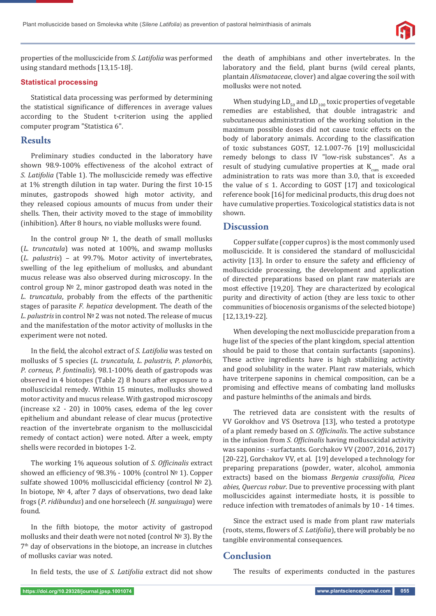properties of the molluscicide from *S. Latifolia* was performed using standard methods [13,15-18].

#### **Statistical processing**

Statistical data processing was performed by determining the statistical significance of differences in average values according to the Student t-criterion using the applied computer program "Statisticа 6".

## **Results**

Preliminary studies conducted in the laboratory have shown 98.9-100% effectiveness of the alcohol extract of *S. Latifolia* (Table 1). The molluscicide remedy was effective at 1% strength dilution in tap water. During the first 10-15 minutes, gastropods showed high motor activity, and they released copious amounts of mucus from under their shells. Then, their activity moved to the stage of immobility (inhibition). After 8 hours, no viable mollusks were found.

In the control group № 1, the death of small mollusks (*L. truncatula*) was noted at 100%, and swamp mollusks (*L. palustris*) – at 99.7%. Motor activity of invertebrates, swelling of the leg epithelium of mollusks, and abundant mucus release was also observed during microscopy. In the control group № 2, minor gastropod death was noted in the *L. truncatula*, probably from the effects of the parthenitic stages of parasite *F. hepatica* development. The death of the *L. palustris* in control № 2 was not noted. The release of mucus and the manifestation of the motor activity of mollusks in the experiment were not noted.

In the field, the alcohol extract of *S. Latifolia* was tested on mollusks of 5 species (*L. truncatula, L. palustris, P. planorbis, P. corneus, P. fontinalis*). 98.1-100% death of gastropods was observed in 4 biotopes (Table 2) 8 hours after exposure to a molluscicidal remedy. Within 15 minutes, mollusks showed motor activity and mucus release. With gastropod microscopy (increase x2 - 20) in 100% cases, edema of the leg cover epithelium and abundant release of clear mucus (protective reaction of the invertebrate organism to the molluscicidal remedy of contact action) were noted. After a week, empty shells were recorded in biotopes 1-2.

The working 1% aqueous solution of *S. Officinalis* extract showed an efficiency of 98.3% - 100% (control  $N<sup>°</sup>$  1). Copper sulfate showed 100% molluscicidal efficiency (control № 2). In biotope, № 4, after 7 days of observations, two dead lake frogs (*P. ridibundus*) and one horseleech (*H. sanguisuga*) were found.

In the fifth biotope, the motor activity of gastropod mollusks and their death were not noted (control № 3). By the 7th day of observations in the biotope, an increase in clutches of mollusks caviar was noted.

In field tests, the use of *S. Latifolia* extract did not show

the death of amphibians and other invertebrates. In the laboratory and the field, plant burns (wild cereal plants, plantain *Alismataceae*, clover) and algae covering the soil with mollusks were not noted.

When studying  $LD_{50}$  and  $LD_{100}$  toxic properties of vegetable remedies are established, that double intragastric and subcutaneous administration of the working solution in the maximum possible doses did not cause toxic effects on the body of laboratory animals. According to the classification of toxic substances GOST, 12.1.007-76 [19] molluscicidal remedy belongs to class IV "low-risk substances". As a result of studying cumulative properties at  $K_{\text{cum}}$  made oral administration to rats was more than 3.0, that is exceeded the value of  $\leq 1$ . According to GOST [17] and toxicological reference book [16] for medicinal products, this drug does not have cumulative properties. Toxicological statistics data is not shown.

## **Discussion**

Copper sulfate (copper cupros) is the most commonly used molluscicide. It is considered the standard of molluscicidal activity [13]. In order to ensure the safety and efficiency of molluscicide processing, the development and application of directed preparations based on plant raw materials are most effective [19,20]. They are characterized by ecological purity and directivity of action (they are less toxic to other communities of biocenosis organisms of the selected biotope) [12,13,19-22].

When developing the next molluscicide preparation from a huge list of the species of the plant kingdom, special attention should be paid to those that contain surfactants (saponins). These active ingredients have is high stabilizing activity and good solubility in the water. Plant raw materials, which have triterpene saponins in chemical composition, can be a promising and effective means of combating land mollusks and pasture helminths of the animals and birds.

The retrieved data are consistent with the results of VV Gorokhov and VS Osetrova [13], who tested a prototype of a plant remedy based on *S. Ofϔicinalis*. The active substance in the infusion from *S. Ofϔicinalis* having molluscicidal activity was saponins - surfactants. Gorchakov VV (2007, 2016, 2017) [20-22], Gorchakov VV, et al. [19] developed a technology for preparing preparations (powder, water, alcohol, ammonia extracts) based on the biomass *Bergenia crassifolia, Picea abies, Quercus robur*. Due to preventive processing with plant molluscicides against intermediate hosts, it is possible to reduce infection with trematodes of animals by 10 - 14 times.

Since the extract used is made from plant raw materials (roots, stems, flowers of *S. Latifolia*), there will probably be no tangible environmental consequences.

## **Conclusion**

The results of experiments conducted in the pastures